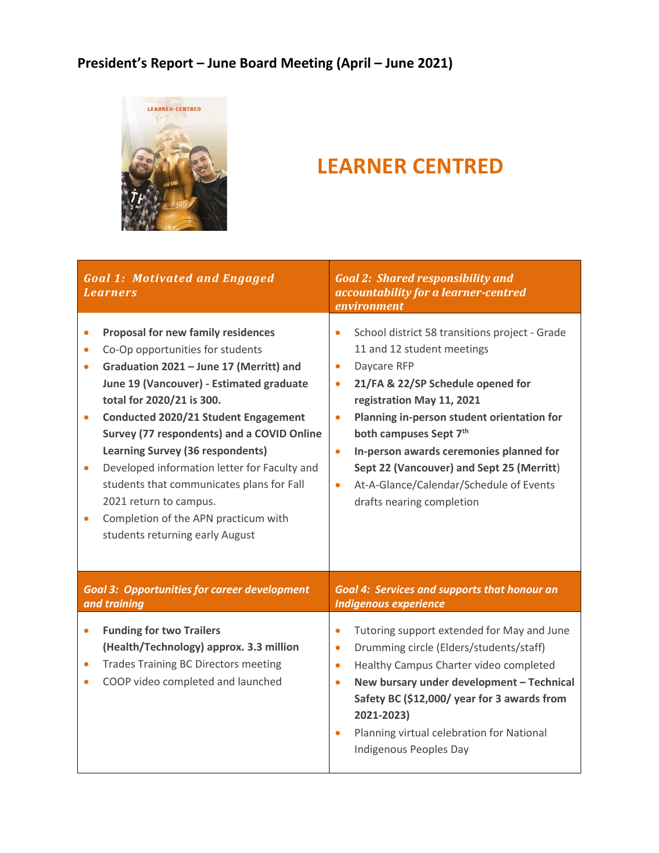#### **President's Report – June Board Meeting (April – June 2021)**



#### **LEARNER CENTRED**

| <b>Goal 1: Motivated and Engaged</b><br><i>Learners</i>                                                                                                                                                                                                                                                                                                                                                                                                                                                                                                                                                     | <b>Goal 2: Shared responsibility and</b><br>accountability for a learner-centred<br>environment                                                                                                                                                                                                                                                                                                                                                                        |  |
|-------------------------------------------------------------------------------------------------------------------------------------------------------------------------------------------------------------------------------------------------------------------------------------------------------------------------------------------------------------------------------------------------------------------------------------------------------------------------------------------------------------------------------------------------------------------------------------------------------------|------------------------------------------------------------------------------------------------------------------------------------------------------------------------------------------------------------------------------------------------------------------------------------------------------------------------------------------------------------------------------------------------------------------------------------------------------------------------|--|
| <b>Proposal for new family residences</b><br>$\bullet$<br>Co-Op opportunities for students<br>$\bullet$<br>Graduation 2021 - June 17 (Merritt) and<br>$\bullet$<br>June 19 (Vancouver) - Estimated graduate<br>total for 2020/21 is 300.<br>Conducted 2020/21 Student Engagement<br>$\bullet$<br>Survey (77 respondents) and a COVID Online<br>Learning Survey (36 respondents)<br>Developed information letter for Faculty and<br>$\bullet$<br>students that communicates plans for Fall<br>2021 return to campus.<br>Completion of the APN practicum with<br>$\bullet$<br>students returning early August | School district 58 transitions project - Grade<br>11 and 12 student meetings<br>Daycare RFP<br>$\bullet$<br>21/FA & 22/SP Schedule opened for<br>$\bullet$<br>registration May 11, 2021<br>Planning in-person student orientation for<br>$\bullet$<br>both campuses Sept 7th<br>In-person awards ceremonies planned for<br>$\bullet$<br>Sept 22 (Vancouver) and Sept 25 (Merritt)<br>At-A-Glance/Calendar/Schedule of Events<br>$\bullet$<br>drafts nearing completion |  |
| <b>Goal 3: Opportunities for career development</b><br>and training                                                                                                                                                                                                                                                                                                                                                                                                                                                                                                                                         | <b>Goal 4: Services and supports that honour an</b><br><b>Indigenous experience</b>                                                                                                                                                                                                                                                                                                                                                                                    |  |
| <b>Funding for two Trailers</b><br>$\bullet$<br>(Health/Technology) approx. 3.3 million<br><b>Trades Training BC Directors meeting</b><br>COOP video completed and launched                                                                                                                                                                                                                                                                                                                                                                                                                                 | Tutoring support extended for May and June<br>$\bullet$<br>Drumming circle (Elders/students/staff)<br>$\bullet$<br>Healthy Campus Charter video completed<br>$\bullet$<br>New bursary under development - Technical<br>$\bullet$<br>Safety BC (\$12,000/ year for 3 awards from<br>2021-2023)<br>Planning virtual celebration for National<br>$\bullet$<br>Indigenous Peoples Day                                                                                      |  |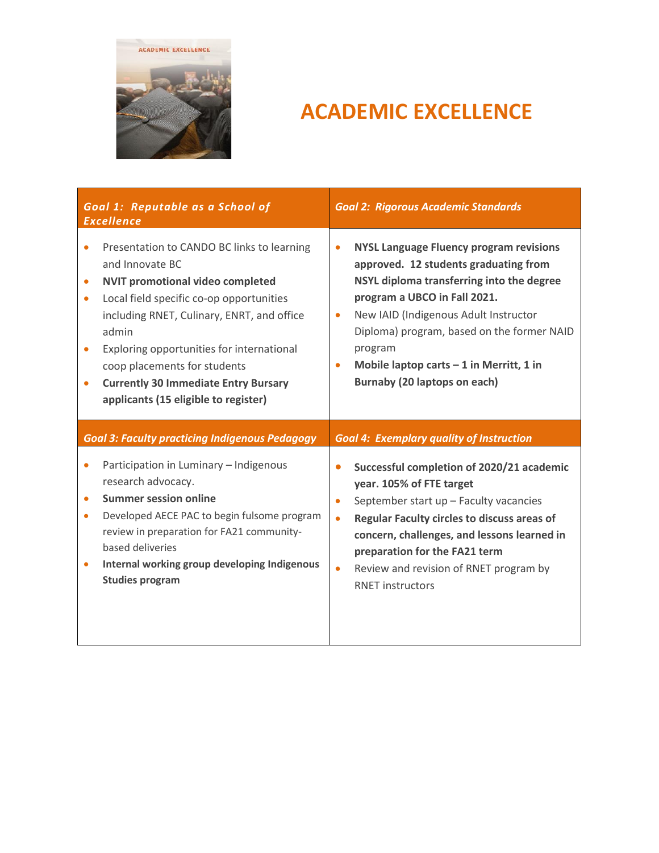

## **ACADEMIC EXCELLENCE**

| Goal 1: Reputable as a School of<br><b>Excellence</b> |                                                                                                                                                                                                                                                                                                                                                                                 | <b>Goal 2: Rigorous Academic Standards</b>       |                                                                                                                                                                                                                                                                                                                                                     |
|-------------------------------------------------------|---------------------------------------------------------------------------------------------------------------------------------------------------------------------------------------------------------------------------------------------------------------------------------------------------------------------------------------------------------------------------------|--------------------------------------------------|-----------------------------------------------------------------------------------------------------------------------------------------------------------------------------------------------------------------------------------------------------------------------------------------------------------------------------------------------------|
|                                                       | Presentation to CANDO BC links to learning<br>and Innovate BC<br><b>NVIT promotional video completed</b><br>Local field specific co-op opportunities<br>including RNET, Culinary, ENRT, and office<br>admin<br>Exploring opportunities for international<br>coop placements for students<br><b>Currently 30 Immediate Entry Bursary</b><br>applicants (15 eligible to register) | $\bullet$<br>$\bullet$                           | <b>NYSL Language Fluency program revisions</b><br>approved. 12 students graduating from<br>NSYL diploma transferring into the degree<br>program a UBCO in Fall 2021.<br>New IAID (Indigenous Adult Instructor<br>Diploma) program, based on the former NAID<br>program<br>Mobile laptop carts $-1$ in Merritt, 1 in<br>Burnaby (20 laptops on each) |
|                                                       | <b>Goal 3: Faculty practicing Indigenous Pedagogy</b>                                                                                                                                                                                                                                                                                                                           |                                                  | <b>Goal 4: Exemplary quality of Instruction</b>                                                                                                                                                                                                                                                                                                     |
| $\bullet$<br>$\bullet$                                | Participation in Luminary - Indigenous<br>research advocacy.<br><b>Summer session online</b><br>Developed AECE PAC to begin fulsome program<br>review in preparation for FA21 community-<br>based deliveries<br>Internal working group developing Indigenous<br><b>Studies program</b>                                                                                          | $\bullet$<br>$\bullet$<br>$\bullet$<br>$\bullet$ | Successful completion of 2020/21 academic<br>year. 105% of FTE target<br>September start up - Faculty vacancies<br>Regular Faculty circles to discuss areas of<br>concern, challenges, and lessons learned in<br>preparation for the FA21 term<br>Review and revision of RNET program by<br><b>RNET instructors</b>                                 |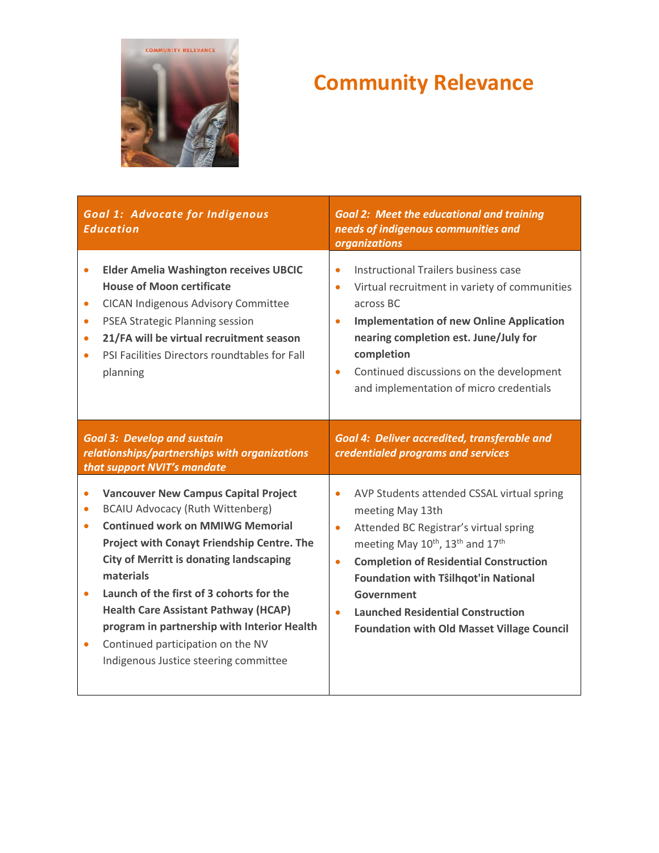

# **Community Relevance**

| <b>Goal 1: Advocate for Indigenous</b><br><b>Education</b>                                                                                                                                                                                                                                                                                          | <b>Goal 2: Meet the educational and training</b><br>needs of indigenous communities and<br>organizations                                                                                                                                                                                                                                                |  |
|-----------------------------------------------------------------------------------------------------------------------------------------------------------------------------------------------------------------------------------------------------------------------------------------------------------------------------------------------------|---------------------------------------------------------------------------------------------------------------------------------------------------------------------------------------------------------------------------------------------------------------------------------------------------------------------------------------------------------|--|
| <b>Elder Amelia Washington receives UBCIC</b><br>$\bullet$<br><b>House of Moon certificate</b><br><b>CICAN Indigenous Advisory Committee</b><br>$\bullet$<br><b>PSEA Strategic Planning session</b><br>$\bullet$<br>21/FA will be virtual recruitment season<br>$\bullet$<br>PSI Facilities Directors roundtables for Fall<br>$\bullet$<br>planning | Instructional Trailers business case<br>$\bullet$<br>Virtual recruitment in variety of communities<br>$\bullet$<br>across BC<br><b>Implementation of new Online Application</b><br>$\bullet$<br>nearing completion est. June/July for<br>completion<br>Continued discussions on the development<br>$\bullet$<br>and implementation of micro credentials |  |
| <b>Goal 3: Develop and sustain</b><br>relationships/partnerships with organizations<br>that support NVIT's mandate                                                                                                                                                                                                                                  | Goal 4: Deliver accredited, transferable and<br>credentialed programs and services                                                                                                                                                                                                                                                                      |  |
| <b>Vancouver New Campus Capital Project</b><br>$\bullet$<br><b>BCAIU Advocacy (Ruth Wittenberg)</b><br>$\bullet$<br><b>Continued work on MMIWG Memorial</b><br>$\bullet$<br>Project with Conayt Friendship Centre. The                                                                                                                              | AVP Students attended CSSAL virtual spring<br>$\bullet$<br>meeting May 13th<br>Attended BC Registrar's virtual spring<br>$\bullet$                                                                                                                                                                                                                      |  |